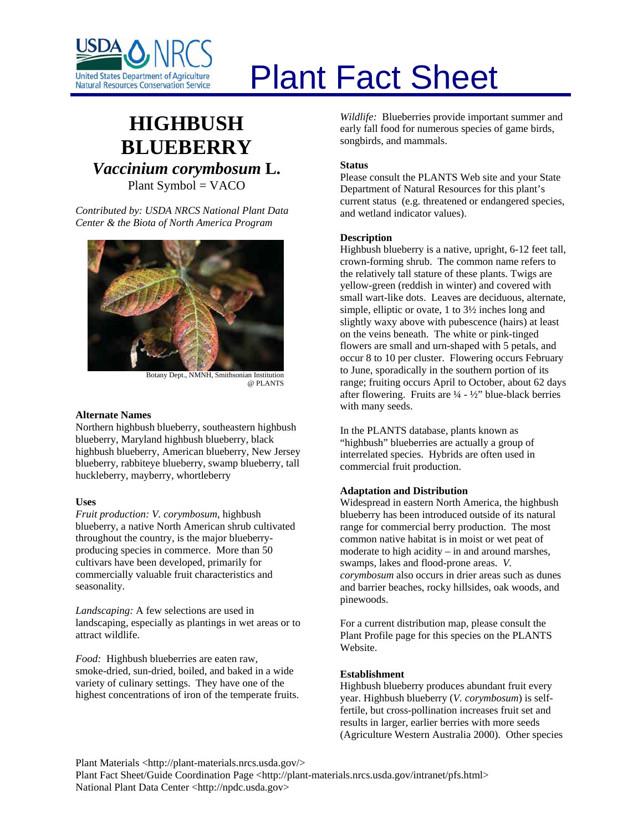

# **HIGHBUSH BLUEBERRY** *Vaccinium corymbosum* **L.** Plant Symbol = VACO

*Contributed by: USDA NRCS National Plant Data Center & the Biota of North America Program* 



Botany Dept., NMNH, Smithsonian Institution @ PLANTS

#### **Alternate Names**

Northern highbush blueberry, southeastern highbush blueberry, Maryland highbush blueberry, black highbush blueberry, American blueberry, New Jersey blueberry, rabbiteye blueberry, swamp blueberry, tall huckleberry, mayberry, whortleberry

# **Uses**

*Fruit production: V. corymbosum*, highbush blueberry, a native North American shrub cultivated throughout the country, is the major blueberryproducing species in commerce. More than 50 cultivars have been developed, primarily for commercially valuable fruit characteristics and seasonality.

*Landscaping:* A few selections are used in landscaping, especially as plantings in wet areas or to attract wildlife.

*Food:* Highbush blueberries are eaten raw, smoke-dried, sun-dried, boiled, and baked in a wide variety of culinary settings. They have one of the highest concentrations of iron of the temperate fruits.

# Plant Fact Sheet

*Wildlife:* Blueberries provide important summer and early fall food for numerous species of game birds, songbirds, and mammals.

#### **Status**

Please consult the PLANTS Web site and your State Department of Natural Resources for this plant's current status (e.g. threatened or endangered species, and wetland indicator values).

#### **Description**

Highbush blueberry is a native, upright, 6-12 feet tall, crown-forming shrub. The common name refers to the relatively tall stature of these plants. Twigs are yellow-green (reddish in winter) and covered with small wart-like dots. Leaves are deciduous, alternate, simple, elliptic or ovate, 1 to 3½ inches long and slightly waxy above with pubescence (hairs) at least on the veins beneath. The white or pink-tinged flowers are small and urn-shaped with 5 petals, and occur 8 to 10 per cluster. Flowering occurs February to June, sporadically in the southern portion of its range; fruiting occurs April to October, about 62 days after flowering. Fruits are  $\frac{1}{4}$  -  $\frac{1}{2}$  blue-black berries with many seeds.

In the PLANTS database, plants known as "highbush" blueberries are actually a group of interrelated species. Hybrids are often used in commercial fruit production.

# **Adaptation and Distribution**

Widespread in eastern North America, the highbush blueberry has been introduced outside of its natural range for commercial berry production. The most common native habitat is in moist or wet peat of moderate to high acidity – in and around marshes, swamps, lakes and flood-prone areas. *V. corymbosum* also occurs in drier areas such as dunes and barrier beaches, rocky hillsides, oak woods, and pinewoods.

For a current distribution map, please consult the Plant Profile page for this species on the PLANTS Website.

#### **Establishment**

Highbush blueberry produces abundant fruit every year. Highbush blueberry (*V. corymbosum*) is selffertile, but cross-pollination increases fruit set and results in larger, earlier berries with more seeds (Agriculture Western Australia 2000). Other species

Plant Materials <http://plant-materials.nrcs.usda.gov/>

Plant Fact Sheet/Guide Coordination Page <http://plant-materials.nrcs.usda.gov/intranet/pfs.html> National Plant Data Center <http://npdc.usda.gov>